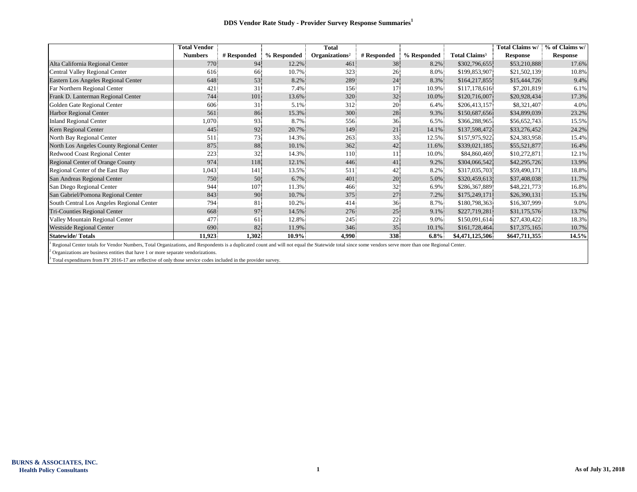|                                           | <b>Total Vendor</b> |             |             | <b>Total</b>               |                 |             |                           | Total Claims w/ | % of Claims w/  |
|-------------------------------------------|---------------------|-------------|-------------|----------------------------|-----------------|-------------|---------------------------|-----------------|-----------------|
|                                           | <b>Numbers</b>      | # Responded | % Responded | Organizations <sup>2</sup> | # Responded     | % Responded | Total Claims <sup>3</sup> | <b>Response</b> | <b>Response</b> |
| Alta California Regional Center           | 770                 | 94.         | 12.2%       | 461                        | 38              | 8.2%        | \$302,796,655             | \$53,210,888    | 17.6%           |
| Central Valley Regional Center            | 616                 | 66          | 10.7%       | 323                        | $26^{\circ}$    | 8.0%        | \$199,853,907             | \$21,502,139    | 10.8%           |
| Eastern Los Angeles Regional Center       | 648                 | 53          | 8.2%        | 289                        | 24              | 8.3%        | \$164,217,855             | \$15,444,726    | 9.4%            |
| Far Northern Regional Center              | 421                 | 31          | 7.4%        | 156                        | 17              | 10.9%       | \$117,178,616             | \$7,201,819     | 6.1%            |
| Frank D. Lanterman Regional Center        | 744                 | 101         | 13.6%       | 320                        | 32 <sup>°</sup> | 10.0%       | \$120,716,007             | \$20,928,434    | 17.3%           |
| Golden Gate Regional Center               | 606                 | 31          | 5.1%        | 312                        | 20              | 6.4%        | \$206,413,157             | \$8,321,407     | 4.0%            |
| Harbor Regional Center                    | 561                 | 86          | 15.3%       | 300                        | 28              | 9.3%        | \$150,687,656             | \$34,899,039    | 23.2%           |
| <b>Inland Regional Center</b>             | 1,070               | 93          | 8.7%        | 556                        | 36              | 6.5%        | \$366,288,965             | \$56,652,743    | 15.5%           |
| Kern Regional Center                      | 445                 | 92          | 20.7%       | 149                        | 21              | 14.1%       | \$137,598,472             | \$33,276,452    | 24.2%           |
| North Bay Regional Center                 | 511                 | 73          | 14.3%       | 263                        | 33              | 12.5%       | \$157,975,922             | \$24,383,958    | 15.4%           |
| North Los Angeles County Regional Center  | 875                 | 88          | 10.1%       | 362                        | 42              | 11.6%       | \$339,021,185             | \$55,521,877    | 16.4%           |
| Redwood Coast Regional Center             | 223                 | 32          | 14.3%       | 110                        | 11.             | 10.0%       | \$84,860,469              | \$10,272,871    | 12.1%           |
| Regional Center of Orange County          | 974                 | 118         | 12.1%       | 446.                       | 41              | 9.2%        | \$304,066,542             | \$42,295,726    | 13.9%           |
| Regional Center of the East Bay           | 1,043               | 141         | 13.5%       | 511                        | 42              | 8.2%        | \$317,035,703             | \$59,490,171    | 18.8%           |
| San Andreas Regional Center               | 750                 | 50          | 6.7%        | 401                        | 20              | 5.0%        | \$320,459,613             | \$37,408,038    | 11.7%           |
| San Diego Regional Center                 | 944                 | 107         | 11.3%       | 466                        | 32              | 6.9%        | \$286,367,889             | \$48,221,773    | 16.8%           |
| San Gabriel/Pomona Regional Center        | 843                 | 90          | 10.7%       | 375                        | 27              | 7.2%        | \$175,249,171             | \$26,390,131    | 15.1%           |
| South Central Los Angeles Regional Center | 794                 | 81          | 10.2%       | 414                        | 36              | 8.7%        | \$180,798,363             | \$16,307,999    | 9.0%            |
| Tri-Counties Regional Center              | 668                 | 97          | 14.5%       | 276                        | 25              | 9.1%        | \$227,719,281             | \$31,175,576    | 13.7%           |
| Valley Mountain Regional Center           | 477                 | 61          | 12.8%       | 245                        | 22              | 9.0%        | \$150,091,614             | \$27,430,422    | 18.3%           |
| <b>Westside Regional Center</b>           | 690                 | 82          | 11.9%       | 346                        | 35              | 10.1%       | \$161,728,464             | \$17,375,165    | 10.7%           |
| <b>Statewide/Totals</b>                   | 11,923              | 1,302       | $10.9\%$    | 4,990                      | 338             | $6.8\%$     | \$4,471,125,506           | \$647,711,355   | 14.5%           |

<sup>1</sup> Regional Center totals for Vendor Numbers, Total Organizations, and Respondents is a duplicated count and will not equal the Statewide total since some vendors serve more than one Regional Center.

 $2$  Organizations are business entities that have 1 or more separate vendorizations.

<sup>3</sup> Total expenditures from FY 2016-17 are reflective of only those service codes included in the provider survey.